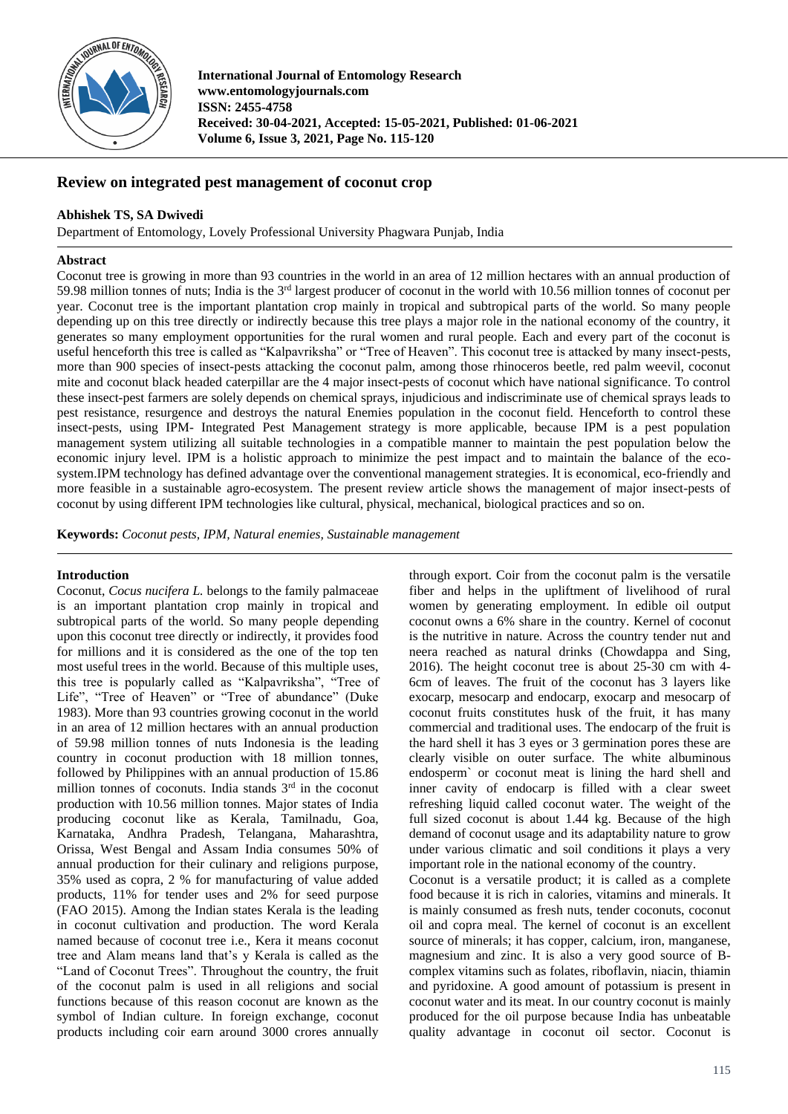

**International Journal of Entomology Research www.entomologyjournals.com ISSN: 2455-4758 Received: 30-04-2021, Accepted: 15-05-2021, Published: 01-06-2021 Volume 6, Issue 3, 2021, Page No. 115-120**

## **Review on integrated pest management of coconut crop**

### **Abhishek TS, SA Dwivedi**

Department of Entomology, Lovely Professional University Phagwara Punjab, India

### **Abstract**

Coconut tree is growing in more than 93 countries in the world in an area of 12 million hectares with an annual production of 59.98 million tonnes of nuts; India is the 3rd largest producer of coconut in the world with 10.56 million tonnes of coconut per year. Coconut tree is the important plantation crop mainly in tropical and subtropical parts of the world. So many people depending up on this tree directly or indirectly because this tree plays a major role in the national economy of the country, it generates so many employment opportunities for the rural women and rural people. Each and every part of the coconut is useful henceforth this tree is called as "Kalpavriksha" or "Tree of Heaven". This coconut tree is attacked by many insect-pests, more than 900 species of insect-pests attacking the coconut palm, among those rhinoceros beetle, red palm weevil, coconut mite and coconut black headed caterpillar are the 4 major insect-pests of coconut which have national significance. To control these insect-pest farmers are solely depends on chemical sprays, injudicious and indiscriminate use of chemical sprays leads to pest resistance, resurgence and destroys the natural Enemies population in the coconut field. Henceforth to control these insect-pests, using IPM- Integrated Pest Management strategy is more applicable, because IPM is a pest population management system utilizing all suitable technologies in a compatible manner to maintain the pest population below the economic injury level. IPM is a holistic approach to minimize the pest impact and to maintain the balance of the ecosystem.IPM technology has defined advantage over the conventional management strategies. It is economical, eco-friendly and more feasible in a sustainable agro-ecosystem. The present review article shows the management of major insect-pests of coconut by using different IPM technologies like cultural, physical, mechanical, biological practices and so on.

**Keywords:** *Coconut pests, IPM, Natural enemies, Sustainable management*

### **Introduction**

Coconut, *Cocus nucifera L.* belongs to the family palmaceae is an important plantation crop mainly in tropical and subtropical parts of the world. So many people depending upon this coconut tree directly or indirectly, it provides food for millions and it is considered as the one of the top ten most useful trees in the world. Because of this multiple uses, this tree is popularly called as "Kalpavriksha", "Tree of Life", "Tree of Heaven" or "Tree of abundance" (Duke 1983). More than 93 countries growing coconut in the world in an area of 12 million hectares with an annual production of 59.98 million tonnes of nuts Indonesia is the leading country in coconut production with 18 million tonnes, followed by Philippines with an annual production of 15.86 million tonnes of coconuts. India stands 3<sup>rd</sup> in the coconut production with 10.56 million tonnes. Major states of India producing coconut like as Kerala, Tamilnadu, Goa, Karnataka, Andhra Pradesh, Telangana, Maharashtra, Orissa, West Bengal and Assam India consumes 50% of annual production for their culinary and religions purpose, 35% used as copra, 2 % for manufacturing of value added products, 11% for tender uses and 2% for seed purpose (FAO 2015). Among the Indian states Kerala is the leading in coconut cultivation and production. The word Kerala named because of coconut tree i.e., Kera it means coconut tree and Alam means land that's y Kerala is called as the "Land of Coconut Trees". Throughout the country, the fruit of the coconut palm is used in all religions and social functions because of this reason coconut are known as the symbol of Indian culture. In foreign exchange, coconut products including coir earn around 3000 crores annually

through export. Coir from the coconut palm is the versatile fiber and helps in the upliftment of livelihood of rural women by generating employment. In edible oil output coconut owns a 6% share in the country. Kernel of coconut is the nutritive in nature. Across the country tender nut and neera reached as natural drinks (Chowdappa and Sing, 2016). The height coconut tree is about 25-30 cm with 4- 6cm of leaves. The fruit of the coconut has 3 layers like exocarp, mesocarp and endocarp, exocarp and mesocarp of coconut fruits constitutes husk of the fruit, it has many commercial and traditional uses. The endocarp of the fruit is the hard shell it has 3 eyes or 3 germination pores these are clearly visible on outer surface. The white albuminous endosperm` or coconut meat is lining the hard shell and inner cavity of endocarp is filled with a clear sweet refreshing liquid called coconut water. The weight of the full sized coconut is about 1.44 kg. Because of the high demand of coconut usage and its adaptability nature to grow under various climatic and soil conditions it plays a very important role in the national economy of the country.

Coconut is a versatile product; it is called as a complete food because it is rich in calories, vitamins and minerals. It is mainly consumed as fresh nuts, tender coconuts, coconut oil and copra meal. The kernel of coconut is an excellent source of minerals; it has copper, calcium, iron, manganese, magnesium and zinc. It is also a very good source of Bcomplex vitamins such as folates, riboflavin, niacin, thiamin and pyridoxine. A good amount of potassium is present in coconut water and its meat. In our country coconut is mainly produced for the oil purpose because India has unbeatable quality advantage in coconut oil sector. Coconut is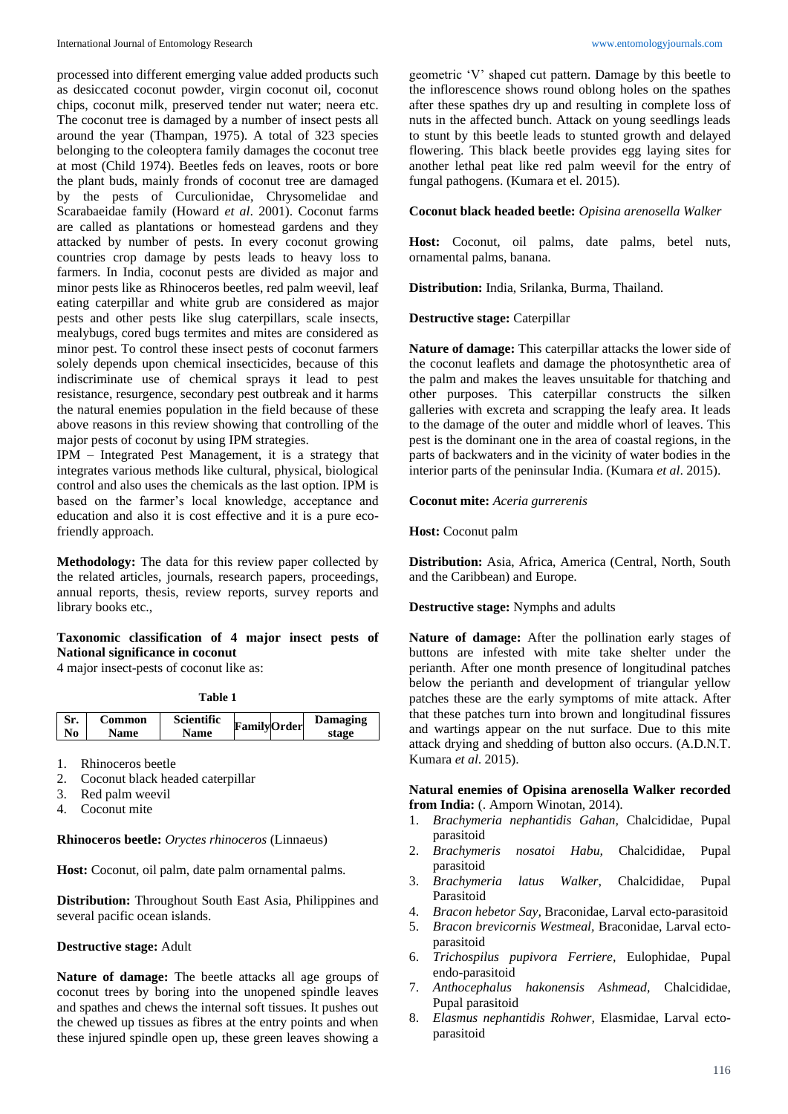processed into different emerging value added products such as desiccated coconut powder, virgin coconut oil, coconut chips, coconut milk, preserved tender nut water; neera etc. The coconut tree is damaged by a number of insect pests all around the year (Thampan, 1975). A total of 323 species belonging to the coleoptera family damages the coconut tree at most (Child 1974). Beetles feds on leaves, roots or bore the plant buds, mainly fronds of coconut tree are damaged by the pests of Curculionidae, Chrysomelidae and Scarabaeidae family (Howard *et al*. 2001). Coconut farms are called as plantations or homestead gardens and they attacked by number of pests. In every coconut growing countries crop damage by pests leads to heavy loss to farmers. In India, coconut pests are divided as major and minor pests like as Rhinoceros beetles, red palm weevil, leaf eating caterpillar and white grub are considered as major pests and other pests like slug caterpillars, scale insects, mealybugs, cored bugs termites and mites are considered as minor pest. To control these insect pests of coconut farmers solely depends upon chemical insecticides, because of this indiscriminate use of chemical sprays it lead to pest resistance, resurgence, secondary pest outbreak and it harms the natural enemies population in the field because of these above reasons in this review showing that controlling of the major pests of coconut by using IPM strategies.

IPM – Integrated Pest Management, it is a strategy that integrates various methods like cultural, physical, biological control and also uses the chemicals as the last option. IPM is based on the farmer's local knowledge, acceptance and education and also it is cost effective and it is a pure ecofriendly approach.

**Methodology:** The data for this review paper collected by the related articles, journals, research papers, proceedings, annual reports, thesis, review reports, survey reports and library books etc.,

## **Taxonomic classification of 4 major insect pests of National significance in coconut**

4 major insect-pests of coconut like as:

**Table 1**

|    | Common      | <b>Scientific</b> | <b>FamilyOrder</b> | Damaging |
|----|-------------|-------------------|--------------------|----------|
| No | <b>Name</b> | Name              |                    | stage    |
|    |             |                   |                    |          |

- 1. Rhinoceros beetle
- 2. Coconut black headed caterpillar
- 3. Red palm weevil
- 4. Coconut mite

## **Rhinoceros beetle:** *Oryctes rhinoceros* (Linnaeus)

**Host:** Coconut, oil palm, date palm ornamental palms.

**Distribution:** Throughout South East Asia, Philippines and several pacific ocean islands.

# **Destructive stage:** Adult

**Nature of damage:** The beetle attacks all age groups of coconut trees by boring into the unopened spindle leaves and spathes and chews the internal soft tissues. It pushes out the chewed up tissues as fibres at the entry points and when these injured spindle open up, these green leaves showing a geometric 'V' shaped cut pattern. Damage by this beetle to the inflorescence shows round oblong holes on the spathes after these spathes dry up and resulting in complete loss of nuts in the affected bunch. Attack on young seedlings leads to stunt by this beetle leads to stunted growth and delayed flowering. This black beetle provides egg laying sites for another lethal peat like red palm weevil for the entry of fungal pathogens. (Kumara et el. 2015).

## **Coconut black headed beetle:** *Opisina arenosella Walker*

**Host:** Coconut, oil palms, date palms, betel nuts, ornamental palms, banana.

**Distribution:** India, Srilanka, Burma, Thailand.

# **Destructive stage:** Caterpillar

**Nature of damage:** This caterpillar attacks the lower side of the coconut leaflets and damage the photosynthetic area of the palm and makes the leaves unsuitable for thatching and other purposes. This caterpillar constructs the silken galleries with excreta and scrapping the leafy area. It leads to the damage of the outer and middle whorl of leaves. This pest is the dominant one in the area of coastal regions, in the parts of backwaters and in the vicinity of water bodies in the interior parts of the peninsular India. (Kumara *et al*. 2015).

## **Coconut mite:** *Aceria gurrerenis*

**Host:** Coconut palm

**Distribution:** Asia, Africa, America (Central, North, South and the Caribbean) and Europe.

# **Destructive stage:** Nymphs and adults

**Nature of damage:** After the pollination early stages of buttons are infested with mite take shelter under the perianth. After one month presence of longitudinal patches below the perianth and development of triangular yellow patches these are the early symptoms of mite attack. After that these patches turn into brown and longitudinal fissures and wartings appear on the nut surface. Due to this mite attack drying and shedding of button also occurs. (A.D.N.T. Kumara *et al*. 2015).

### **Natural enemies of Opisina arenosella Walker recorded from India:** (. Amporn Winotan, 2014).

- 1. *Brachymeria nephantidis Gahan,* Chalcididae, Pupal parasitoid
- 2. *Brachymeris nosatoi Habu,* Chalcididae, Pupal parasitoid
- 3. *Brachymeria latus Walker*, Chalcididae, Pupal Parasitoid
- 4. *Bracon hebetor Say,* Braconidae, Larval ecto-parasitoid
- 5. *Bracon brevicornis Westmeal,* Braconidae, Larval ectoparasitoid
- 6. *Trichospilus pupivora Ferriere,* Eulophidae, Pupal endo-parasitoid
- 7. *Anthocephalus hakonensis Ashmead,* Chalcididae, Pupal parasitoid
- 8. *Elasmus nephantidis Rohwer,* Elasmidae, Larval ectoparasitoid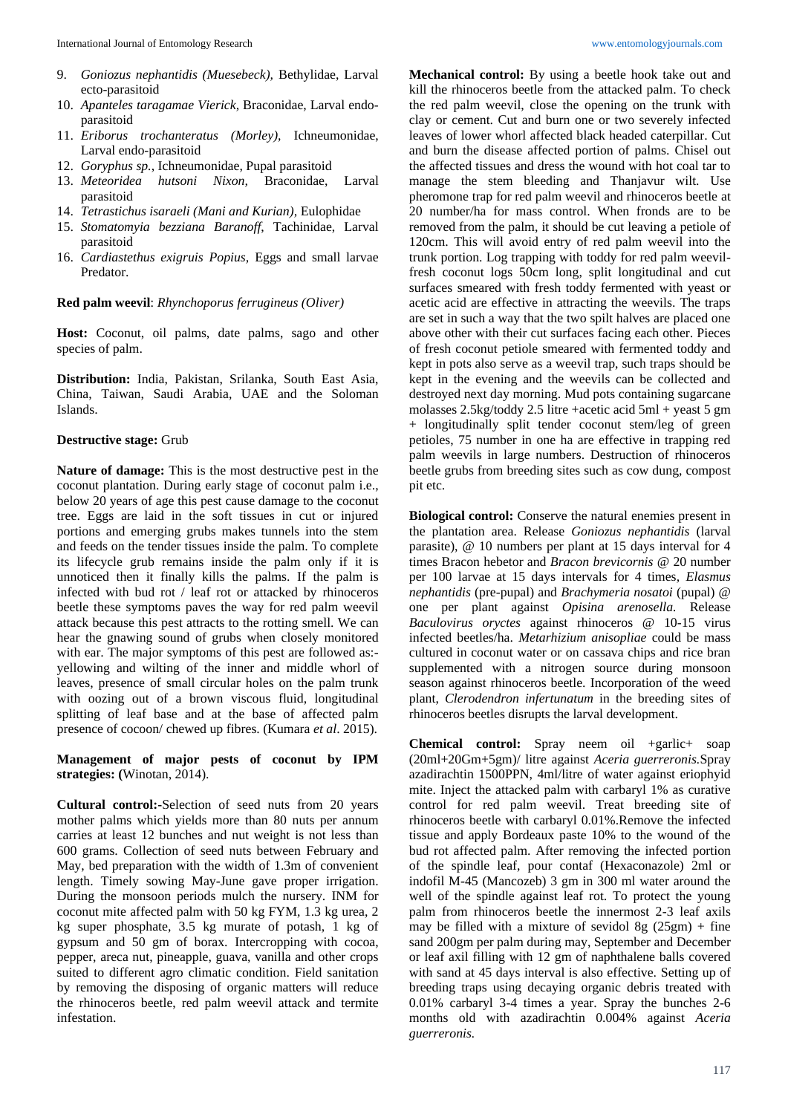- 9. *Goniozus nephantidis (Muesebeck),* Bethylidae, Larval ecto-parasitoid
- 10. *Apanteles taragamae Vierick,* Braconidae, Larval endoparasitoid
- 11. *Eriborus trochanteratus (Morley),* Ichneumonidae, Larval endo-parasitoid
- 12. *Goryphus sp.*, Ichneumonidae, Pupal parasitoid
- 13. *Meteoridea hutsoni Nixon,* Braconidae, Larval parasitoid
- 14. *Tetrastichus isaraeli (Mani and Kurian),* Eulophidae
- 15. *Stomatomyia bezziana Baranoff*, Tachinidae, Larval parasitoid
- 16. *Cardiastethus exigruis Popius,* Eggs and small larvae Predator.

#### **Red palm weevil**: *Rhynchoporus ferrugineus (Oliver)*

**Host:** Coconut, oil palms, date palms, sago and other species of palm.

**Distribution:** India, Pakistan, Srilanka, South East Asia, China, Taiwan, Saudi Arabia, UAE and the Soloman Islands.

#### **Destructive stage:** Grub

**Nature of damage:** This is the most destructive pest in the coconut plantation. During early stage of coconut palm i.e., below 20 years of age this pest cause damage to the coconut tree. Eggs are laid in the soft tissues in cut or injured portions and emerging grubs makes tunnels into the stem and feeds on the tender tissues inside the palm. To complete its lifecycle grub remains inside the palm only if it is unnoticed then it finally kills the palms. If the palm is infected with bud rot / leaf rot or attacked by rhinoceros beetle these symptoms paves the way for red palm weevil attack because this pest attracts to the rotting smell. We can hear the gnawing sound of grubs when closely monitored with ear. The major symptoms of this pest are followed as:yellowing and wilting of the inner and middle whorl of leaves, presence of small circular holes on the palm trunk with oozing out of a brown viscous fluid, longitudinal splitting of leaf base and at the base of affected palm presence of cocoon/ chewed up fibres. (Kumara *et al*. 2015).

**Management of major pests of coconut by IPM strategies: (**Winotan, 2014).

**Cultural control:-**Selection of seed nuts from 20 years mother palms which yields more than 80 nuts per annum carries at least 12 bunches and nut weight is not less than 600 grams. Collection of seed nuts between February and May, bed preparation with the width of 1.3m of convenient length. Timely sowing May-June gave proper irrigation. During the monsoon periods mulch the nursery. INM for coconut mite affected palm with 50 kg FYM, 1.3 kg urea, 2 kg super phosphate, 3.5 kg murate of potash, 1 kg of gypsum and 50 gm of borax. Intercropping with cocoa, pepper, areca nut, pineapple, guava, vanilla and other crops suited to different agro climatic condition. Field sanitation by removing the disposing of organic matters will reduce the rhinoceros beetle, red palm weevil attack and termite infestation.

**Mechanical control:** By using a beetle hook take out and kill the rhinoceros beetle from the attacked palm. To check the red palm weevil, close the opening on the trunk with clay or cement. Cut and burn one or two severely infected leaves of lower whorl affected black headed caterpillar. Cut and burn the disease affected portion of palms. Chisel out the affected tissues and dress the wound with hot coal tar to manage the stem bleeding and Thanjavur wilt. Use pheromone trap for red palm weevil and rhinoceros beetle at 20 number/ha for mass control. When fronds are to be removed from the palm, it should be cut leaving a petiole of 120cm. This will avoid entry of red palm weevil into the trunk portion. Log trapping with toddy for red palm weevilfresh coconut logs 50cm long, split longitudinal and cut surfaces smeared with fresh toddy fermented with yeast or acetic acid are effective in attracting the weevils. The traps are set in such a way that the two spilt halves are placed one above other with their cut surfaces facing each other. Pieces of fresh coconut petiole smeared with fermented toddy and kept in pots also serve as a weevil trap, such traps should be kept in the evening and the weevils can be collected and destroyed next day morning. Mud pots containing sugarcane molasses 2.5kg/toddy 2.5 litre +acetic acid 5ml + yeast 5 gm + longitudinally split tender coconut stem/leg of green petioles, 75 number in one ha are effective in trapping red palm weevils in large numbers. Destruction of rhinoceros beetle grubs from breeding sites such as cow dung, compost pit etc.

**Biological control:** Conserve the natural enemies present in the plantation area. Release *Goniozus nephantidis* (larval parasite), @ 10 numbers per plant at 15 days interval for 4 times Bracon hebetor and *Bracon brevicornis* @ 20 number per 100 larvae at 15 days intervals for 4 times*, Elasmus nephantidis* (pre-pupal) and *Brachymeria nosatoi* (pupal) @ one per plant against *Opisina arenosella.* Release *Baculovirus oryctes* against rhinoceros @ 10-15 virus infected beetles/ha. *Metarhizium anisopliae* could be mass cultured in coconut water or on cassava chips and rice bran supplemented with a nitrogen source during monsoon season against rhinoceros beetle. Incorporation of the weed plant, *Clerodendron infertunatum* in the breeding sites of rhinoceros beetles disrupts the larval development.

**Chemical control:** Spray neem oil +garlic+ soap (20ml+20Gm+5gm)/ litre against *Aceria guerreronis.*Spray azadirachtin 1500PPN, 4ml/litre of water against eriophyid mite. Inject the attacked palm with carbaryl 1% as curative control for red palm weevil. Treat breeding site of rhinoceros beetle with carbaryl 0.01%.Remove the infected tissue and apply Bordeaux paste 10% to the wound of the bud rot affected palm. After removing the infected portion of the spindle leaf, pour contaf (Hexaconazole) 2ml or indofil M-45 (Mancozeb) 3 gm in 300 ml water around the well of the spindle against leaf rot. To protect the young palm from rhinoceros beetle the innermost 2-3 leaf axils may be filled with a mixture of sevidol 8g  $(25gm) + fine$ sand 200gm per palm during may, September and December or leaf axil filling with 12 gm of naphthalene balls covered with sand at 45 days interval is also effective. Setting up of breeding traps using decaying organic debris treated with 0.01% carbaryl 3-4 times a year. Spray the bunches 2-6 months old with azadirachtin 0.004% against *Aceria guerreronis.*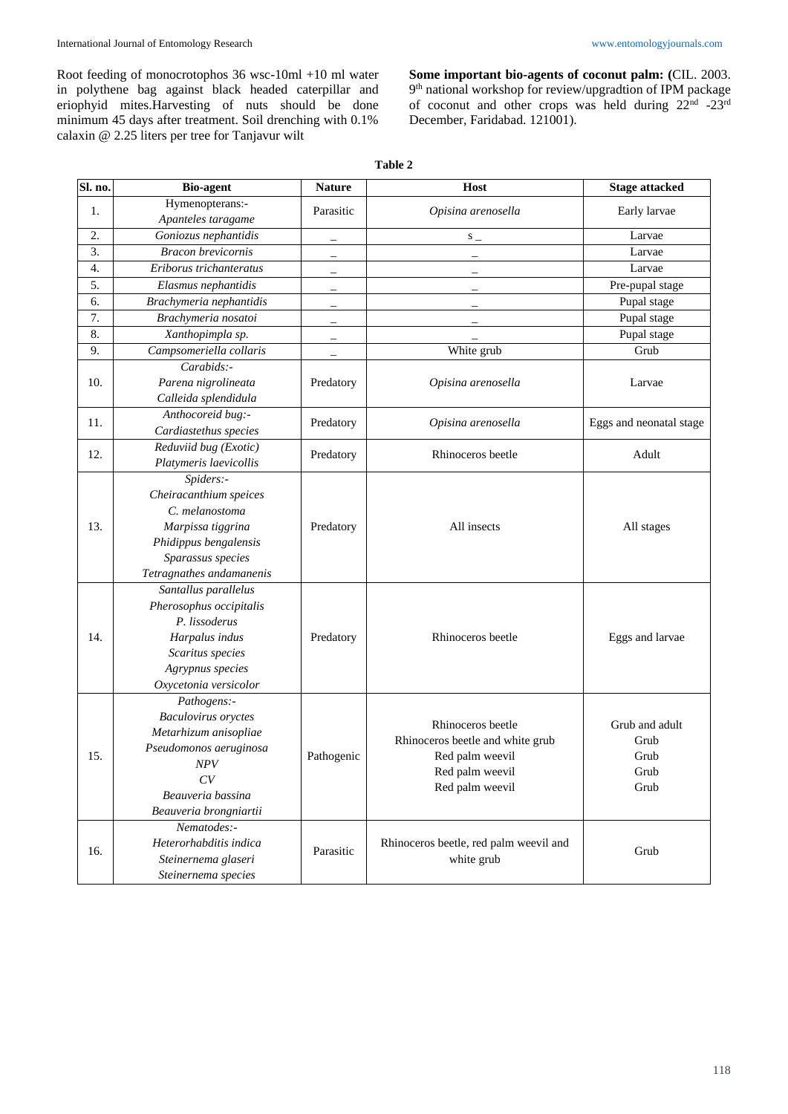Root feeding of monocrotophos 36 wsc-10ml +10 ml water in polythene bag against black headed caterpillar and eriophyid mites.Harvesting of nuts should be done minimum 45 days after treatment. Soil drenching with 0.1% calaxin @ 2.25 liters per tree for Tanjavur wilt

**Some important bio-agents of coconut palm: (**CIL. 2003. 9 th national workshop for review/upgradtion of IPM package of coconut and other crops was held during 22<sup>nd</sup> -23<sup>rd</sup> December, Faridabad. 121001).

| Sl. no. | <b>Bio-agent</b>           | <b>Nature</b>            | Host                                   | <b>Stage attacked</b>   |
|---------|----------------------------|--------------------------|----------------------------------------|-------------------------|
| 1.      | Hymenopterans:-            | Parasitic                | Opisina arenosella                     | Early larvae            |
|         | Apanteles taragame         |                          |                                        |                         |
| 2.      | Goniozus nephantidis       |                          | $S_{-}$                                | Larvae                  |
| 3.      | <b>Bracon</b> brevicornis  | $\overline{\phantom{0}}$ |                                        | Larvae                  |
| 4.      | Eriborus trichanteratus    |                          |                                        | Larvae                  |
| 5.      | Elasmus nephantidis        |                          |                                        | Pre-pupal stage         |
| 6.      | Brachymeria nephantidis    | -                        |                                        | Pupal stage             |
| 7.      | Brachymeria nosatoi        | -                        |                                        | Pupal stage             |
| 8.      | Xanthopimpla sp.           | $\overline{\phantom{0}}$ |                                        | Pupal stage             |
| 9.      | Campsomeriella collaris    |                          | White grub                             | Grub                    |
|         | Carabids:-                 |                          | Opisina arenosella                     | Larvae                  |
| 10.     | Parena nigrolineata        | Predatory                |                                        |                         |
|         | Calleida splendidula       |                          |                                        |                         |
| 11.     | Anthocoreid bug:-          | Predatory                | Opisina arenosella                     | Eggs and neonatal stage |
|         | Cardiastethus species      |                          |                                        |                         |
| 12.     | Reduviid bug (Exotic)      | Predatory                | Rhinoceros beetle                      | Adult                   |
|         | Platymeris laevicollis     |                          |                                        |                         |
|         | Spiders:-                  |                          |                                        |                         |
|         | Cheiracanthium speices     |                          |                                        |                         |
| 13.     | C. melanostoma             |                          |                                        |                         |
|         | Marpissa tiggrina          | Predatory                | All insects                            | All stages              |
|         | Phidippus bengalensis      |                          |                                        |                         |
|         | Sparassus species          |                          |                                        |                         |
|         | Tetragnathes andamanenis   |                          |                                        |                         |
|         | Santallus parallelus       |                          |                                        |                         |
|         | Pherosophus occipitalis    |                          |                                        |                         |
|         | P. lissoderus              |                          |                                        |                         |
| 14.     | Harpalus indus             | Predatory                | Rhinoceros beetle                      | Eggs and larvae         |
|         | Scaritus species           |                          |                                        |                         |
|         | Agrypnus species           |                          |                                        |                         |
|         | Oxycetonia versicolor      |                          |                                        |                         |
|         | Pathogens:-                |                          |                                        |                         |
|         | <b>Baculovirus</b> oryctes |                          | Rhinoceros beetle                      | Grub and adult          |
|         | Metarhizum anisopliae      | Pathogenic               |                                        |                         |
|         | Pseudomonos aeruginosa     |                          | Rhinoceros beetle and white grub       | Grub                    |
| 15.     | $N\!P V$                   |                          | Red palm weevil                        | Grub                    |
|         | CV                         |                          | Red palm weevil                        | Grub<br>Grub            |
|         | Beauveria bassina          |                          | Red palm weevil                        |                         |
|         | Beauveria brongniartii     |                          |                                        |                         |
| 16.     | Nematodes:-                |                          |                                        |                         |
|         | Heterorhabditis indica     | Parasitic                | Rhinoceros beetle, red palm weevil and | Grub                    |
|         | Steinernema glaseri        |                          | white grub                             |                         |
|         | Steinernema species        |                          |                                        |                         |

#### **Table 2**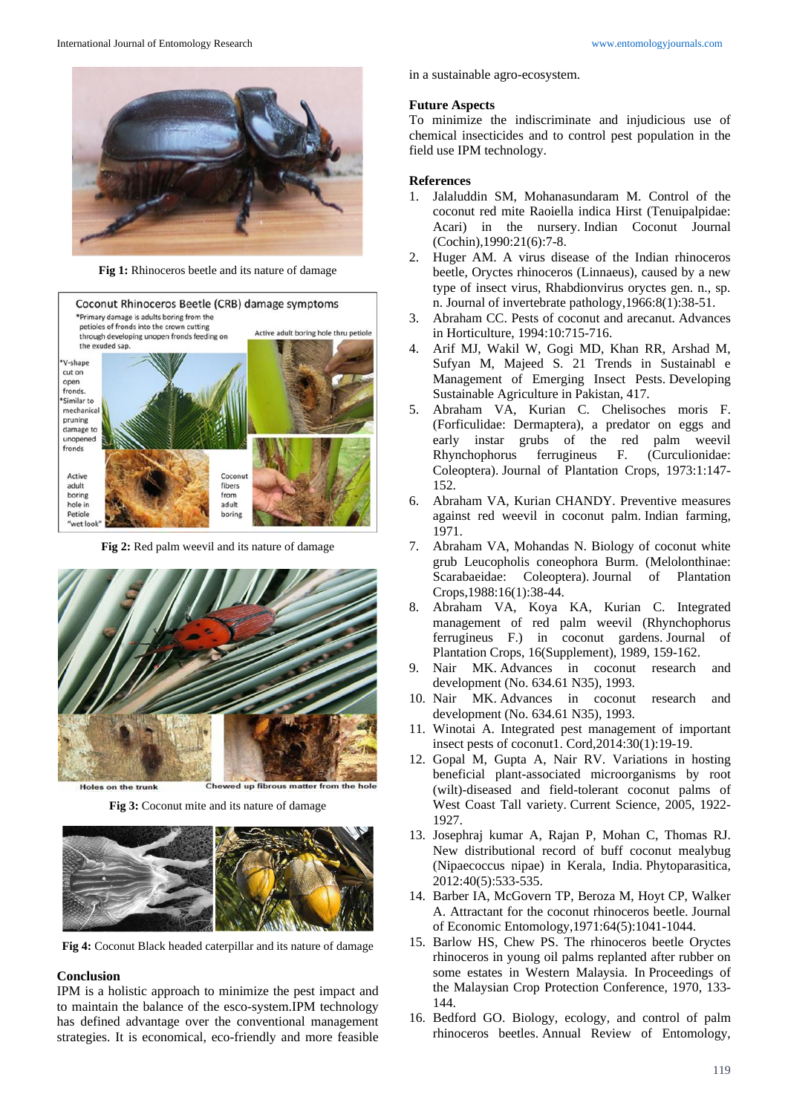

**Fig 1:** Rhinoceros beetle and its nature of damage



**Fig 2:** Red palm weevil and its nature of damage



**Fig 3:** Coconut mite and its nature of damage



**Fig 4:** Coconut Black headed caterpillar and its nature of damage

## **Conclusion**

IPM is a holistic approach to minimize the pest impact and to maintain the balance of the esco-system.IPM technology has defined advantage over the conventional management strategies. It is economical, eco-friendly and more feasible

in a sustainable agro-ecosystem.

#### **Future Aspects**

To minimize the indiscriminate and injudicious use of chemical insecticides and to control pest population in the field use IPM technology.

#### **References**

- 1. Jalaluddin SM, Mohanasundaram M. Control of the coconut red mite Raoiella indica Hirst (Tenuipalpidae: Acari) in the nursery. Indian Coconut Journal (Cochin),1990:21(6):7-8.
- 2. Huger AM. A virus disease of the Indian rhinoceros beetle, Oryctes rhinoceros (Linnaeus), caused by a new type of insect virus, Rhabdionvirus oryctes gen. n., sp. n. Journal of invertebrate pathology,1966:8(1):38-51.
- 3. Abraham CC. Pests of coconut and arecanut. Advances in Horticulture, 1994:10:715-716.
- 4. Arif MJ, Wakil W, Gogi MD, Khan RR, Arshad M, Sufyan M, Majeed S. 21 Trends in Sustainabl e Management of Emerging Insect Pests. Developing Sustainable Agriculture in Pakistan, 417.
- 5. Abraham VA, Kurian C. Chelisoches moris F. (Forficulidae: Dermaptera), a predator on eggs and early instar grubs of the red palm weevil Rhynchophorus ferrugineus F. (Curculionidae: Coleoptera). Journal of Plantation Crops, 1973:1:147- 152.
- 6. Abraham VA, Kurian CHANDY. Preventive measures against red weevil in coconut palm. Indian farming, 1971.
- 7. Abraham VA, Mohandas N. Biology of coconut white grub Leucopholis coneophora Burm. (Melolonthinae: Scarabaeidae: Coleoptera). Journal of Plantation Crops,1988:16(1):38-44.
- 8. Abraham VA, Koya KA, Kurian C. Integrated management of red palm weevil (Rhynchophorus ferrugineus F.) in coconut gardens. Journal of Plantation Crops, 16(Supplement), 1989, 159-162.
- 9. Nair MK. Advances in coconut research and development (No. 634.61 N35), 1993.
- 10. Nair MK. Advances in coconut research and development (No. 634.61 N35), 1993.
- 11. Winotai A. Integrated pest management of important insect pests of coconut1. Cord,2014:30(1):19-19.
- 12. Gopal M, Gupta A, Nair RV. Variations in hosting beneficial plant-associated microorganisms by root (wilt)-diseased and field-tolerant coconut palms of West Coast Tall variety. Current Science, 2005, 1922- 1927.
- 13. Josephraj kumar A, Rajan P, Mohan C, Thomas RJ. New distributional record of buff coconut mealybug (Nipaecoccus nipae) in Kerala, India. Phytoparasitica, 2012:40(5):533-535.
- 14. Barber IA, McGovern TP, Beroza M, Hoyt CP, Walker A. Attractant for the coconut rhinoceros beetle. Journal of Economic Entomology,1971:64(5):1041-1044.
- 15. Barlow HS, Chew PS. The rhinoceros beetle Oryctes rhinoceros in young oil palms replanted after rubber on some estates in Western Malaysia. In Proceedings of the Malaysian Crop Protection Conference, 1970, 133- 144.
- 16. Bedford GO. Biology, ecology, and control of palm rhinoceros beetles. Annual Review of Entomology,